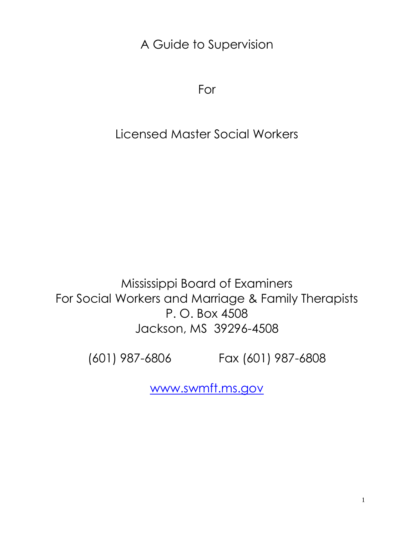A Guide to Supervision

For

# Licensed Master Social Workers

Mississippi Board of Examiners For Social Workers and Marriage & Family Therapists P. O. Box 4508 Jackson, MS 39296-4508

(601) 987-6806 Fax (601) 987-6808

[www.swmft.ms.gov](http://www.swmft.ms.gov/)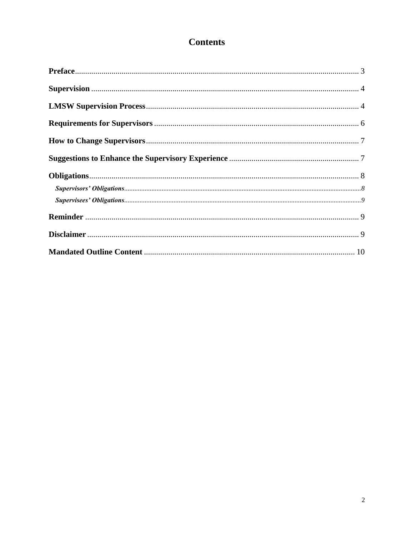# **Contents**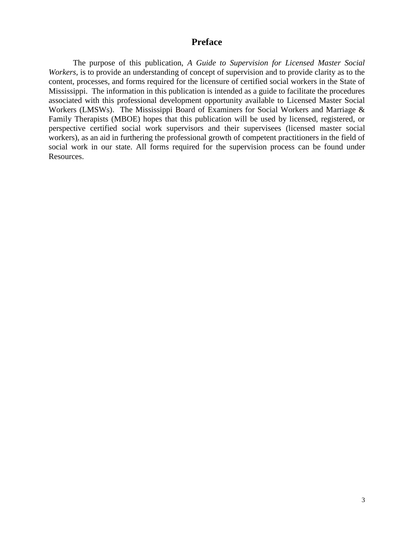#### <span id="page-2-0"></span>**Preface**

The purpose of this publication, *A Guide to Supervision for Licensed Master Social Workers,* is to provide an understanding of concept of supervision and to provide clarity as to the content, processes, and forms required for the licensure of certified social workers in the State of Mississippi. The information in this publication is intended as a guide to facilitate the procedures associated with this professional development opportunity available to Licensed Master Social Workers (LMSWs). The Mississippi Board of Examiners for Social Workers and Marriage & Family Therapists (MBOE) hopes that this publication will be used by licensed, registered, or perspective certified social work supervisors and their supervisees (licensed master social workers), as an aid in furthering the professional growth of competent practitioners in the field of social work in our state. All forms required for the supervision process can be found under Resources.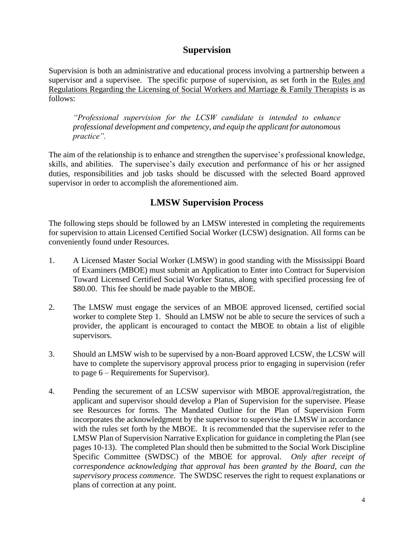#### <span id="page-3-0"></span>**Supervision**

Supervision is both an administrative and educational process involving a partnership between a supervisor and a supervisee. The specific purpose of supervision, as set forth in the Rules and Regulations Regarding the Licensing of Social Workers and Marriage & Family Therapists is as follows:

*"Professional supervision for the LCSW candidate is intended to enhance professional development and competency, and equip the applicant for autonomous practice".* 

The aim of the relationship is to enhance and strengthen the supervisee's professional knowledge, skills, and abilities. The supervisee's daily execution and performance of his or her assigned duties, responsibilities and job tasks should be discussed with the selected Board approved supervisor in order to accomplish the aforementioned aim.

# <span id="page-3-1"></span>**LMSW Supervision Process**

The following steps should be followed by an LMSW interested in completing the requirements for supervision to attain Licensed Certified Social Worker (LCSW) designation. All forms can be conveniently found under Resources.

- 1. A Licensed Master Social Worker (LMSW) in good standing with the Mississippi Board of Examiners (MBOE) must submit an Application to Enter into Contract for Supervision Toward Licensed Certified Social Worker Status, along with specified processing fee of \$80.00. This fee should be made payable to the MBOE.
- 2. The LMSW must engage the services of an MBOE approved licensed, certified social worker to complete Step 1. Should an LMSW not be able to secure the services of such a provider, the applicant is encouraged to contact the MBOE to obtain a list of eligible supervisors.
- 3. Should an LMSW wish to be supervised by a non-Board approved LCSW, the LCSW will have to complete the supervisory approval process prior to engaging in supervision (refer to page 6 – Requirements for Supervisor).
- 4. Pending the securement of an LCSW supervisor with MBOE approval/registration, the applicant and supervisor should develop a Plan of Supervision for the supervisee. Please see Resources for forms. The Mandated Outline for the Plan of Supervision Form incorporates the acknowledgment by the supervisor to supervise the LMSW in accordance with the rules set forth by the MBOE. It is recommended that the supervisee refer to the LMSW Plan of Supervision Narrative Explication for guidance in completing the Plan (see pages 10-13). The completed Plan should then be submitted to the Social Work Discipline Specific Committee (SWDSC) of the MBOE for approval. *Only after receipt of correspondence acknowledging that approval has been granted by the Board, can the supervisory process commence.* The SWDSC reserves the right to request explanations or plans of correction at any point.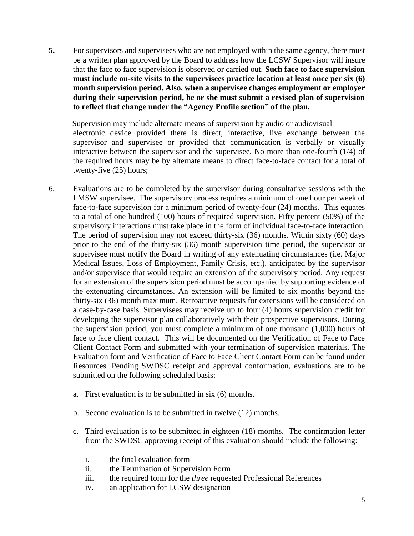**5.** For supervisors and supervisees who are not employed within the same agency, there must be a written plan approved by the Board to address how the LCSW Supervisor will insure that the face to face supervision is observed or carried out. **Such face to face supervision must include on-site visits to the supervisees practice location at least once per six (6) month supervision period. Also, when a supervisee changes employment or employer during their supervision period, he or she must submit a revised plan of supervision to reflect that change under the "Agency Profile section" of the plan.**

 Supervision may include alternate means of supervision by audio or audiovisual electronic device provided there is direct, interactive, live exchange between the supervisor and supervisee or provided that communication is verbally or visually interactive between the supervisor and the supervisee. No more than one-fourth (1/4) of the required hours may be by alternate means to direct face-to-face contact for a total of twenty-five (25) hours;

- 6. Evaluations are to be completed by the supervisor during consultative sessions with the LMSW supervisee. The supervisory process requires a minimum of one hour per week of face-to-face supervision for a minimum period of twenty-four (24) months. This equates to a total of one hundred (100) hours of required supervision. Fifty percent (50%) of the supervisory interactions must take place in the form of individual face-to-face interaction. The period of supervision may not exceed thirty-six (36) months. Within sixty (60) days prior to the end of the thirty-six (36) month supervision time period, the supervisor or supervisee must notify the Board in writing of any extenuating circumstances (i.e. Major Medical Issues, Loss of Employment, Family Crisis, etc.), anticipated by the supervisor and/or supervisee that would require an extension of the supervisory period. Any request for an extension of the supervision period must be accompanied by supporting evidence of the extenuating circumstances. An extension will be limited to six months beyond the thirty-six (36) month maximum. Retroactive requests for extensions will be considered on a case-by-case basis. Supervisees may receive up to four (4) hours supervision credit for developing the supervisor plan collaboratively with their prospective supervisors. During the supervision period, you must complete a minimum of one thousand (1,000) hours of face to face client contact. This will be documented on the Verification of Face to Face Client Contact Form and submitted with your termination of supervision materials. The Evaluation form and Verification of Face to Face Client Contact Form can be found under Resources. Pending SWDSC receipt and approval conformation, evaluations are to be submitted on the following scheduled basis:
	- a. First evaluation is to be submitted in six (6) months.
	- b. Second evaluation is to be submitted in twelve (12) months.
	- c. Third evaluation is to be submitted in eighteen (18) months. The confirmation letter from the SWDSC approving receipt of this evaluation should include the following:
		- i. the final evaluation form
		- ii. the Termination of Supervision Form
		- iii. the required form for the *three* requested Professional References
		- iv. an application for LCSW designation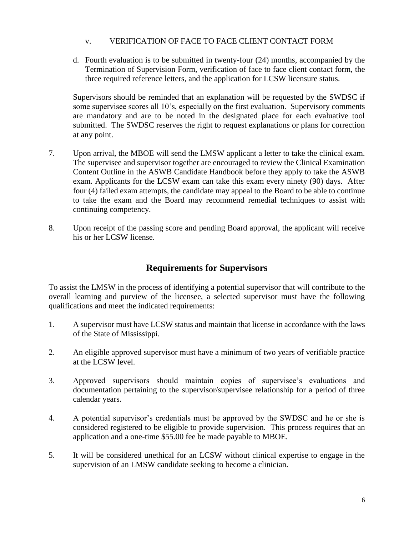#### v. VERIFICATION OF FACE TO FACE CLIENT CONTACT FORM

d. Fourth evaluation is to be submitted in twenty-four (24) months, accompanied by the Termination of Supervision Form, verification of face to face client contact form, the three required reference letters, and the application for LCSW licensure status.

Supervisors should be reminded that an explanation will be requested by the SWDSC if some supervisee scores all 10's, especially on the first evaluation. Supervisory comments are mandatory and are to be noted in the designated place for each evaluative tool submitted. The SWDSC reserves the right to request explanations or plans for correction at any point.

- 7. Upon arrival, the MBOE will send the LMSW applicant a letter to take the clinical exam. The supervisee and supervisor together are encouraged to review the Clinical Examination Content Outline in the ASWB Candidate Handbook before they apply to take the ASWB exam. Applicants for the LCSW exam can take this exam every ninety (90) days. After four (4) failed exam attempts, the candidate may appeal to the Board to be able to continue to take the exam and the Board may recommend remedial techniques to assist with continuing competency.
- 8. Upon receipt of the passing score and pending Board approval, the applicant will receive his or her LCSW license.

## <span id="page-5-0"></span>**Requirements for Supervisors**

To assist the LMSW in the process of identifying a potential supervisor that will contribute to the overall learning and purview of the licensee, a selected supervisor must have the following qualifications and meet the indicated requirements:

- 1. A supervisor must have LCSW status and maintain that license in accordance with the laws of the State of Mississippi.
- 2. An eligible approved supervisor must have a minimum of two years of verifiable practice at the LCSW level.
- 3. Approved supervisors should maintain copies of supervisee's evaluations and documentation pertaining to the supervisor/supervisee relationship for a period of three calendar years.
- 4. A potential supervisor's credentials must be approved by the SWDSC and he or she is considered registered to be eligible to provide supervision. This process requires that an application and a one-time \$55.00 fee be made payable to MBOE.
- 5. It will be considered unethical for an LCSW without clinical expertise to engage in the supervision of an LMSW candidate seeking to become a clinician.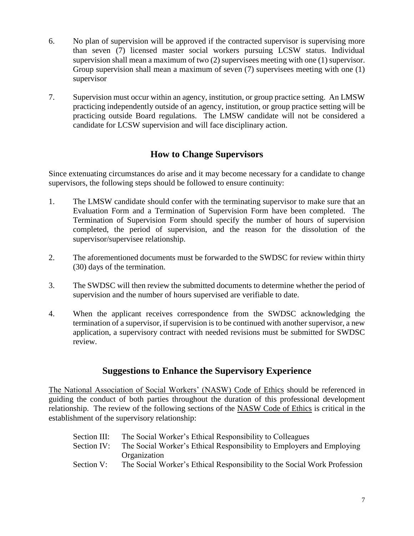- 6. No plan of supervision will be approved if the contracted supervisor is supervising more than seven (7) licensed master social workers pursuing LCSW status. Individual supervision shall mean a maximum of two (2) supervisees meeting with one (1) supervisor. Group supervision shall mean a maximum of seven (7) supervisees meeting with one (1) supervisor
- 7. Supervision must occur within an agency, institution, or group practice setting. An LMSW practicing independently outside of an agency, institution, or group practice setting will be practicing outside Board regulations. The LMSW candidate will not be considered a candidate for LCSW supervision and will face disciplinary action.

## <span id="page-6-0"></span>**How to Change Supervisors**

Since extenuating circumstances do arise and it may become necessary for a candidate to change supervisors, the following steps should be followed to ensure continuity:

- 1. The LMSW candidate should confer with the terminating supervisor to make sure that an Evaluation Form and a Termination of Supervision Form have been completed. The Termination of Supervision Form should specify the number of hours of supervision completed, the period of supervision, and the reason for the dissolution of the supervisor/supervisee relationship.
- 2. The aforementioned documents must be forwarded to the SWDSC for review within thirty (30) days of the termination.
- 3. The SWDSC will then review the submitted documents to determine whether the period of supervision and the number of hours supervised are verifiable to date.
- 4. When the applicant receives correspondence from the SWDSC acknowledging the termination of a supervisor, if supervision is to be continued with another supervisor, a new application, a supervisory contract with needed revisions must be submitted for SWDSC review.

## <span id="page-6-1"></span>**Suggestions to Enhance the Supervisory Experience**

The National Association of Social Workers' (NASW) Code of Ethics should be referenced in guiding the conduct of both parties throughout the duration of this professional development relationship. The review of the following sections of the NASW Code of Ethics is critical in the establishment of the supervisory relationship:

| Section III: | The Social Worker's Ethical Responsibility to Colleagues                 |
|--------------|--------------------------------------------------------------------------|
| Section IV:  | The Social Worker's Ethical Responsibility to Employers and Employing    |
|              | Organization                                                             |
| Section V:   | The Social Worker's Ethical Responsibility to the Social Work Profession |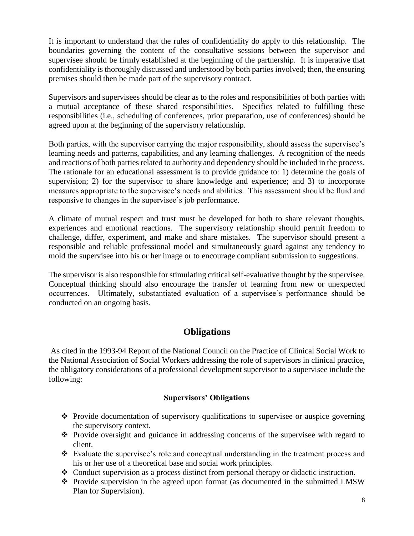It is important to understand that the rules of confidentiality do apply to this relationship. The boundaries governing the content of the consultative sessions between the supervisor and supervisee should be firmly established at the beginning of the partnership. It is imperative that confidentiality is thoroughly discussed and understood by both parties involved; then, the ensuring premises should then be made part of the supervisory contract.

Supervisors and supervisees should be clear as to the roles and responsibilities of both parties with a mutual acceptance of these shared responsibilities. Specifics related to fulfilling these responsibilities (i.e., scheduling of conferences, prior preparation, use of conferences) should be agreed upon at the beginning of the supervisory relationship.

Both parties, with the supervisor carrying the major responsibility, should assess the supervisee's learning needs and patterns, capabilities, and any learning challenges. A recognition of the needs and reactions of both parties related to authority and dependency should be included in the process. The rationale for an educational assessment is to provide guidance to: 1) determine the goals of supervision; 2) for the supervisor to share knowledge and experience; and 3) to incorporate measures appropriate to the supervisee's needs and abilities. This assessment should be fluid and responsive to changes in the supervisee's job performance.

A climate of mutual respect and trust must be developed for both to share relevant thoughts, experiences and emotional reactions. The supervisory relationship should permit freedom to challenge, differ, experiment, and make and share mistakes. The supervisor should present a responsible and reliable professional model and simultaneously guard against any tendency to mold the supervisee into his or her image or to encourage compliant submission to suggestions.

The supervisor is also responsible for stimulating critical self-evaluative thought by the supervisee. Conceptual thinking should also encourage the transfer of learning from new or unexpected occurrences. Ultimately, substantiated evaluation of a supervisee's performance should be conducted on an ongoing basis.

## <span id="page-7-0"></span>**Obligations**

As cited in the 1993-94 Report of the National Council on the Practice of Clinical Social Work to the National Association of Social Workers addressing the role of supervisors in clinical practice, the obligatory considerations of a professional development supervisor to a supervisee include the following:

#### <span id="page-7-1"></span>**Supervisors' Obligations**

- Provide documentation of supervisory qualifications to supervisee or auspice governing the supervisory context.
- $\cdot \cdot$  Provide oversight and guidance in addressing concerns of the supervisee with regard to client.
- Evaluate the supervisee's role and conceptual understanding in the treatment process and his or her use of a theoretical base and social work principles.
- $\bullet$  Conduct supervision as a process distinct from personal therapy or didactic instruction.
- \* Provide supervision in the agreed upon format (as documented in the submitted LMSW Plan for Supervision).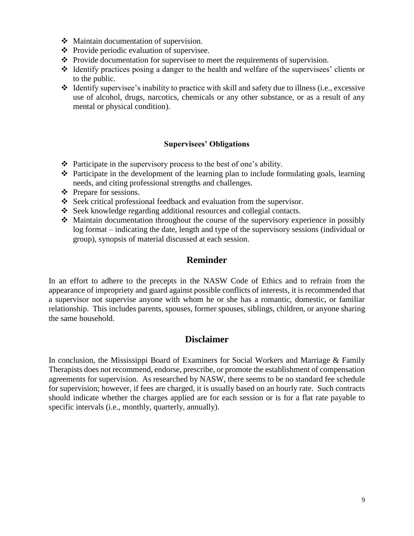- Maintain documentation of supervision.
- $\triangle$  Provide periodic evaluation of supervisee.
- $\triangle$  Provide documentation for supervisee to meet the requirements of supervision.
- $\triangle$  Identify practices posing a danger to the health and welfare of the supervisees' clients or to the public.
- $\triangleleft$  Identify supervisee's inability to practice with skill and safety due to illness (i.e., excessive use of alcohol, drugs, narcotics, chemicals or any other substance, or as a result of any mental or physical condition).

#### <span id="page-8-0"></span>**Supervisees' Obligations**

- $\triangle$  Participate in the supervisory process to the best of one's ability.
- Participate in the development of the learning plan to include formulating goals, learning needs, and citing professional strengths and challenges.
- ❖ Prepare for sessions.
- Seek critical professional feedback and evaluation from the supervisor.
- Seek knowledge regarding additional resources and collegial contacts.
- $\triangle$  Maintain documentation throughout the course of the supervisory experience in possibly log format – indicating the date, length and type of the supervisory sessions (individual or group), synopsis of material discussed at each session.

#### <span id="page-8-1"></span>**Reminder**

In an effort to adhere to the precepts in the NASW Code of Ethics and to refrain from the appearance of impropriety and guard against possible conflicts of interests, it is recommended that a supervisor not supervise anyone with whom he or she has a romantic, domestic, or familiar relationship. This includes parents, spouses, former spouses, siblings, children, or anyone sharing the same household.

## <span id="page-8-2"></span>**Disclaimer**

In conclusion, the Mississippi Board of Examiners for Social Workers and Marriage & Family Therapists does not recommend, endorse, prescribe, or promote the establishment of compensation agreements for supervision. As researched by NASW, there seems to be no standard fee schedule for supervision; however, if fees are charged, it is usually based on an hourly rate. Such contracts should indicate whether the charges applied are for each session or is for a flat rate payable to specific intervals (i.e., monthly, quarterly, annually).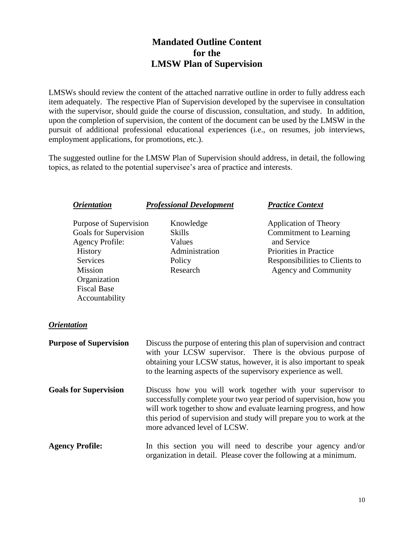# <span id="page-9-0"></span>**Mandated Outline Content for the LMSW Plan of Supervision**

LMSWs should review the content of the attached narrative outline in order to fully address each item adequately. The respective Plan of Supervision developed by the supervisee in consultation with the supervisor, should guide the course of discussion, consultation, and study. In addition, upon the completion of supervision, the content of the document can be used by the LMSW in the pursuit of additional professional educational experiences (i.e., on resumes, job interviews, employment applications, for promotions, etc.).

The suggested outline for the LMSW Plan of Supervision should address, in detail, the following topics, as related to the potential supervisee's area of practice and interests.

| <i><b>Orientation</b></i>                                                                                                                                                         | <b>Professional Development</b>                                              | <b>Practice Context</b>                                                                                                                                                                                                                                                        |
|-----------------------------------------------------------------------------------------------------------------------------------------------------------------------------------|------------------------------------------------------------------------------|--------------------------------------------------------------------------------------------------------------------------------------------------------------------------------------------------------------------------------------------------------------------------------|
| Purpose of Supervision<br>Goals for Supervision<br><b>Agency Profile:</b><br>History<br><b>Services</b><br><b>Mission</b><br>Organization<br><b>Fiscal Base</b><br>Accountability | Knowledge<br><b>Skills</b><br>Values<br>Administration<br>Policy<br>Research | <b>Application of Theory</b><br><b>Commitment to Learning</b><br>and Service<br>Priorities in Practice<br>Responsibilities to Clients to<br><b>Agency and Community</b>                                                                                                        |
| <i><b>Orientation</b></i>                                                                                                                                                         |                                                                              |                                                                                                                                                                                                                                                                                |
| <b>Purpose of Supervision</b>                                                                                                                                                     | to the learning aspects of the supervisory experience as well.               | Discuss the purpose of entering this plan of supervision and contract<br>with your LCSW supervisor. There is the obvious purpose of<br>obtaining your LCSW status, however, it is also important to speak                                                                      |
| <b>Goals for Supervision</b>                                                                                                                                                      | more advanced level of LCSW.                                                 | Discuss how you will work together with your supervisor to<br>successfully complete your two year period of supervision, how you<br>will work together to show and evaluate learning progress, and how<br>this period of supervision and study will prepare you to work at the |
| <b>Agency Profile:</b>                                                                                                                                                            |                                                                              | In this section you will need to describe your agency and/or<br>organization in detail. Please cover the following at a minimum.                                                                                                                                               |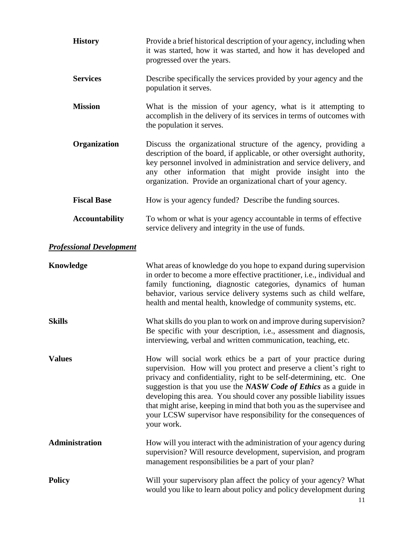| <b>History</b>                  | Provide a brief historical description of your agency, including when<br>it was started, how it was started, and how it has developed and<br>progressed over the years.                                                                                                                                                                                                                                                                                                                                           |
|---------------------------------|-------------------------------------------------------------------------------------------------------------------------------------------------------------------------------------------------------------------------------------------------------------------------------------------------------------------------------------------------------------------------------------------------------------------------------------------------------------------------------------------------------------------|
| <b>Services</b>                 | Describe specifically the services provided by your agency and the<br>population it serves.                                                                                                                                                                                                                                                                                                                                                                                                                       |
| <b>Mission</b>                  | What is the mission of your agency, what is it attempting to<br>accomplish in the delivery of its services in terms of outcomes with<br>the population it serves.                                                                                                                                                                                                                                                                                                                                                 |
| Organization                    | Discuss the organizational structure of the agency, providing a<br>description of the board, if applicable, or other oversight authority,<br>key personnel involved in administration and service delivery, and<br>any other information that might provide insight into the<br>organization. Provide an organizational chart of your agency.                                                                                                                                                                     |
| <b>Fiscal Base</b>              | How is your agency funded? Describe the funding sources.                                                                                                                                                                                                                                                                                                                                                                                                                                                          |
| <b>Accountability</b>           | To whom or what is your agency accountable in terms of effective<br>service delivery and integrity in the use of funds.                                                                                                                                                                                                                                                                                                                                                                                           |
| <b>Professional Development</b> |                                                                                                                                                                                                                                                                                                                                                                                                                                                                                                                   |
| Knowledge                       | What areas of knowledge do you hope to expand during supervision<br>in order to become a more effective practitioner, i.e., individual and<br>family functioning, diagnostic categories, dynamics of human<br>behavior, various service delivery systems such as child welfare,<br>health and mental health, knowledge of community systems, etc.                                                                                                                                                                 |
| <b>Skills</b>                   | What skills do you plan to work on and improve during supervision?<br>Be specific with your description, i.e., assessment and diagnosis,<br>interviewing, verbal and written communication, teaching, etc.                                                                                                                                                                                                                                                                                                        |
| <b>Values</b>                   | How will social work ethics be a part of your practice during<br>supervision. How will you protect and preserve a client's right to<br>privacy and confidentiality, right to be self-determining, etc. One<br>suggestion is that you use the NASW Code of Ethics as a guide in<br>developing this area. You should cover any possible liability issues<br>that might arise, keeping in mind that both you as the supervisee and<br>your LCSW supervisor have responsibility for the consequences of<br>your work. |
| <b>Administration</b>           | How will you interact with the administration of your agency during<br>supervision? Will resource development, supervision, and program<br>management responsibilities be a part of your plan?                                                                                                                                                                                                                                                                                                                    |
| <b>Policy</b>                   | Will your supervisory plan affect the policy of your agency? What<br>would you like to learn about policy and policy development during<br>11                                                                                                                                                                                                                                                                                                                                                                     |